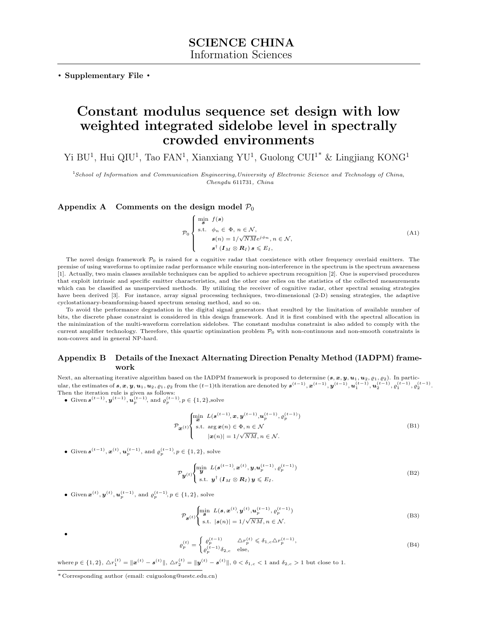. Supplementary File .

# Constant modulus sequence set design with low weighted integrated sidelobe level in spectrally crowded environments

Yi BU<sup>1</sup>, Hui QIU<sup>1</sup>, Tao FAN<sup>1</sup>, Xianxiang YU<sup>1</sup>, Guolong CUI<sup>1\*</sup> & Lingjiang KONG<sup>1</sup>

<sup>1</sup>School of Information and Communication Engineering,University of Electronic Science and Technology of China, Chengdu 611731, China

# Appendix A Comments on the design model  $P_0$

$$
\mathcal{P}_0 \begin{cases} \min_{\mathbf{g}} f(\mathbf{s}) \\ \text{s.t.} & \phi_n \in \Phi, n \in \mathcal{N}, \\ & \mathbf{s}(n) = 1/\sqrt{N} M e^{j\phi_n}, n \in \mathcal{N}, \\ & \mathbf{s}^{\dagger} (I_M \otimes \mathbf{R}_I) \mathbf{s} \leqslant E_I, \end{cases} \tag{A1}
$$

The novel design framework  $\mathcal{P}_0$  is raised for a cognitive radar that coexistence with other frequency overlaid emitters. The premise of using waveforms to optimize radar performance while ensuring non-interference in the spectrum is the spectrum awareness [\[1\]](#page-7-0). Actually, two main classes available techniques can be applied to achieve spectrum recognition [\[2\]](#page-7-1). One is supervised procedures that exploit intrinsic and specific emitter characteristics, and the other one relies on the statistics of the collected measurements which can be classified as unsupervised methods. By utilizing the receiver of cognitive radar, other spectral sensing strategies have been derived [\[3\]](#page-7-2). For instance, array signal processing techniques, two-dimensional (2-D) sensing strategies, the adaptive cyclostationary-beamforming-based spectrum sensing method, and so on.

To avoid the performance degradation in the digital signal generators that resulted by the limitation of available number of bits, the discrete phase constraint is considered in this design framework. And it is first combined with the spectral allocation in the minimization of the multi-waveform correlation sidelobes. The constant modulus constraint is also added to comply with the current amplifier technology. Therefore, this quartic optimization problem  $P_0$  with non-continuous and non-smooth constraints is non-convex and in general NP-hard.

# Appendix B Details of the Inexact Alternating Direction Penalty Method (IADPM) framework

Next, an alternating iterative algorithm based on the IADPM framework is proposed to determine  $(s, x, y, u_1, u_2, \varrho_1, \varrho_2)$ . In partic- $\text{ular, the estimates of } \bm{s}, \bm{x}, \bm{y}, \bm{u}_1, \bm{u}_2, \varrho_1, \varrho_2 \text{ from the } (t-1)\text{th iteration are denoted by } \bm{s^{(t-1)}}, \bm{x^{(t-1)}}, \bm{y^{(t-1)}}, \bm{u_1^{(t-1)}}, \bm{u_2^{(t-1)}}, \varrho_1^{(t-1)}, \varrho_2^{(t-1)}.$ Then the iteration rule is given as follows:

• Given  $s^{(t-1)}$ ,  $y^{(t-1)}$ ,  $u_p^{(t-1)}$ , and  $\varrho_p^{(t-1)}$ ,  $p \in \{1, 2\}$ , solve

$$
\mathcal{P}_{\mathbf{x}^{(t)}}\begin{cases}\n\min_{\mathbf{z}} L(\mathbf{s}^{(t-1)}, \mathbf{x}, \mathbf{y}^{(t-1)}, \mathbf{u}_p^{(t-1)}, \varrho_p^{(t-1)}) \\
\text{s.t. } \arg \mathbf{x}(n) \in \Phi, n \in \mathcal{N} \\
|\mathbf{x}(n)| = 1/\sqrt{NM}, n \in \mathcal{N}.\n\end{cases}
$$
\n(B1)

• Given  $s^{(t-1)}, x^{(t)}, u_p^{(t-1)}$ , and  $\varrho_p^{(t-1)}, p \in \{1, 2\}$ , solve

$$
\mathcal{P}_{\boldsymbol{y}^{(t)}}\begin{cases}\n\min_{\boldsymbol{y}} \ L(\boldsymbol{s}^{(t-1)}, \boldsymbol{x}^{(t)}, \boldsymbol{y}, \boldsymbol{u}_p^{(t-1)}, \varrho_p^{(t-1)}) \\
\text{s.t. } \boldsymbol{y}^\dagger (\boldsymbol{I}_M \otimes \boldsymbol{R}_I) \boldsymbol{y} \leqslant E_I.\n\end{cases}
$$
\n(B2)

• Given  $\mathbf{x}^{(t)}, \mathbf{y}^{(t)}, \mathbf{u}_p^{(t-1)}$ , and  $\varrho_p^{(t-1)}, p \in \{1, 2\}$ , solve

$$
\mathcal{P}_{\mathbf{g}}(t) \begin{cases} \min_{\mathbf{g}} \ L(\mathbf{s}, \mathbf{x}^{(t)}, \mathbf{y}^{(t)}, \mathbf{u}_p^{(t-1)}, \rho_p^{(t-1)})\\ \text{s.t.} \ |\mathbf{s}(n)| = 1/\sqrt{NM}, n \in \mathcal{N}. \end{cases} \tag{B3}
$$

$$
f_{\rm{max}}
$$

•

$$
\varrho_p^{(t)} = \begin{cases} \varrho_p^{(t-1)} & \Delta r_p^{(t)} \leq \delta_{1,c} \Delta r_p^{(t-1)}, \\ \varrho_p^{(t-1)} \delta_{2,c} & \text{else,} \end{cases} \tag{B4}
$$

 $\text{where } p \in \{1, 2\}, \ \Delta r_1^{(t)} = \|\boldsymbol{x}^{(t)} - \boldsymbol{s}^{(t)}\|, \ \Delta r_2^{(t)} = \|\boldsymbol{y}^{(t)} - \boldsymbol{s}^{(t)}\|, \ 0 < \delta_{1, c} < 1 \text{ and } \delta_{2, c} > 1 \text{ but close to } 1.$ 

<sup>\*</sup> Corresponding author (email: cuiguolong@uestc.edu.cn)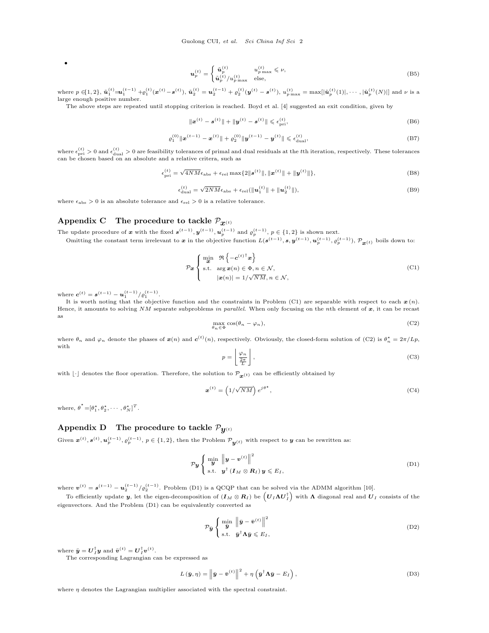$$
\boldsymbol{u}_p^{(t)} = \begin{cases} \tilde{\boldsymbol{u}}_p^{(t)} & u_{p\max}^{(t)} \le \nu, \\ \tilde{\boldsymbol{u}}_p^{(t)}/u_{p\max}^{(t)} & \text{else,} \end{cases}
$$
(B5)

where  $p \in [1,2]$ ,  $\tilde{\mathbf{u}}_1^{(t)} = \mathbf{u}_1^{(t-1)} + \varrho_1^{(t)}(\mathbf{x}^{(t)} - \mathbf{s}^{(t)}), \tilde{\mathbf{u}}_2^{(t)} = \mathbf{u}_2^{(t-1)} + \varrho_2^{(t)}(\mathbf{y}^{(t)} - \mathbf{s}^{(t)}), u_{p \max}^{(t)} = \max[|\tilde{\mathbf{u}}_p^{(t)}(1)|, \cdots, |\tilde{\mathbf{u}}_p^{(t)}(N)|]$  and  $\nu$  is a large enough positive number.

The above steps are repeated until stopping criterion is reached. Boyd et al. [\[4\]](#page-7-3) suggested an exit condition, given by

$$
\|\mathbf{x}^{(t)} - \mathbf{s}^{(t)}\| + \|\mathbf{y}^{(t)} - \mathbf{s}^{(t)}\| \leq \epsilon_{\text{pri}}^{(t)},\tag{B6}
$$

$$
\varrho_1^{(0)} \|\boldsymbol{x}^{(t-1)} - \boldsymbol{x}^{(t)}\| + \varrho_2^{(0)} \|\boldsymbol{y}^{(t-1)} - \boldsymbol{y}^{(t)}\| \leq \epsilon_{\text{dual}}^{(t)},
$$
\n(B7)

where  $\epsilon_{\rm pri}^{(t)} > 0$  and  $\epsilon_{\rm dual}^{(t)} > 0$  are feasibility tolerances of primal and dual residuals at the *t*th iteration, respectively. These tolerances can be chosen based on an absolute and a relative critera, such as

$$
\epsilon_{\text{pri}}^{(t)} = \sqrt{4NM} \epsilon_{\text{abs}} + \epsilon_{\text{rel}} \max\{2\| \mathbf{s}^{(t)} \|, \| \mathbf{x}^{(t)} \| + \| \mathbf{y}^{(t)} \| \},\tag{B8}
$$

$$
\epsilon_{\text{dual}}^{(t)} = \sqrt{2NM}\epsilon_{\text{abs}} + \epsilon_{\text{rel}}(\|\mathbf{u}_1^{(t)}\| + \|\mathbf{u}_2^{(t)}\|),\tag{B9}
$$

where  $\epsilon_{\rm abs} > 0$  is an absolute tolerance and  $\epsilon_{\rm rel} > 0$  is a relative tolerance.

#### Appendix C The procedure to tackle  $\mathcal{P}_{\bm{x}^{(t)}}$

The update procedure of x with the fixed  $s^{(t-1)}$ ,  $y^{(t-1)}$ ,  $u_p^{(t-1)}$  and  $\varrho_p^{(t-1)}$ ,  $p \in \{1,2\}$  is shown next.

Omitting the constant term irrelevant to x in the objective function  $L(s^{(t-1)}, s, y^{(t-1)}, u_p^{(t-1)}, \rho_p^{(t-1)})$ ,  $\mathcal{P}_{\bm{x}}(t)$  boils down to:

<span id="page-1-0"></span>
$$
\mathcal{P}_{\mathbf{x}}\left\{\begin{array}{ll}\min_{\mathbf{x}}&\Re\left\{-\mathbf{c}^{(t)^\dagger}\mathbf{x}\right\}\\\text{s.t. } \arg\mathbf{x}(n)\in\Phi, n\in\mathcal{N},\\|\mathbf{x}(n)|=1/\sqrt{NM}, n\in\mathcal{N},\end{array}\right.\tag{C1}
$$

where  $c^{(t)} = s^{(t-1)} - u_1^{(t-1)}/\rho_1^{(t-1)}$ .

•

It is worth noting that the objective function and the constraints in Problem [\(C1\)](#page-1-0) are separable with respect to each  $x(n)$ . Hence, it amounts to solving  $NM$  separate subproblems in parallel. When only focusing on the nth element of  $x$ , it can be recast as

<span id="page-1-1"></span>
$$
\max_{\theta_n \in \Phi} \cos(\theta_n - \varphi_n),\tag{C2}
$$

where  $\theta_n$  and  $\varphi_n$  denote the phases of  $\boldsymbol{x}(n)$  and  $\boldsymbol{c}^{(t)}(n)$ , respectively. Obviously, the closed-form solution of [\(C2\)](#page-1-1) is  $\theta_n^* = 2\pi/Lp$ , with

$$
p = \left\lfloor \frac{\varphi_n}{\frac{2\pi}{L}} \right\rfloor, \tag{C3}
$$

with  $\lfloor \cdot \rfloor$  denotes the floor operation. Therefore, the solution to  $\mathcal{P}_{\mathbf{x}(t)}$  can be efficiently obtained by

$$
\boldsymbol{x}^{(t)} = \left(1/\sqrt{NM}\right)e^{j\theta^{\star}},\tag{C4}
$$

where,  $\boldsymbol{\theta}^* = [\theta_1^*, \theta_2^*, \cdots, \theta_N^*]^T$ .

# Appendix D The procedure to tackle  $\mathcal{P}_{\bm{u}^{(t)}}$

Given  $\boldsymbol{x}^{(t)}, \boldsymbol{s}^{(t)}, \boldsymbol{u}_p^{(t-1)}, p \in \{1,2\},$  then the Problem  $\mathcal{P}_{\boldsymbol{y}(t)}$  with respect to  $\boldsymbol{y}$  can be rewritten as:

<span id="page-1-2"></span>
$$
\mathcal{P}_{\mathbf{y}}\left\{\begin{array}{l}\min_{\mathbf{y}}\left\|\mathbf{y}-\mathbf{v}^{(t)}\right\|^{2}\\\text{s.t. }\mathbf{y}^{\dagger}\left(\mathbf{I}_{M}\otimes\mathbf{R}_{I}\right)\mathbf{y}\leqslant E_{I},\end{array}\right. \tag{D1}
$$

where  $\mathbf{v}^{(t)} = \mathbf{s}^{(t-1)} - \mathbf{u}_2^{(t-1)}/\varrho_2^{(t-1)}$ . Problem [\(D1\)](#page-1-2) is a QCQP that can be solved via the ADMM algorithm [\[10\]](#page-7-4).

To efficiently update  $y$ , let the eigen-decomposition of  $(I_M \otimes R_I)$  be  $\left(U_I \Lambda U_I^{\dagger}\right)$  with  $\Lambda$  diagonal real and  $U_I$  consists of the eigenvectors. And the Problem [\(D1\)](#page-1-2) can be equivalently converted as

$$
\mathcal{P}_{\bar{\mathbf{y}}}\left\{\begin{array}{ll}\min_{\bar{\mathbf{y}}} & \left\|\bar{\mathbf{y}} - \bar{\mathbf{v}}^{(t)}\right\|^2\\ \text{s.t.} & \bar{\mathbf{y}}^{\dagger} \mathbf{A} \bar{\mathbf{y}} \leqslant E_I, \end{array}\right. \tag{D2}
$$

where  $\bar{\mathbf{y}} = \mathbf{U}_{I}^{\dagger} \mathbf{y}$  and  $\bar{\mathbf{v}}^{(t)} = \mathbf{U}_{I}^{\dagger} \mathbf{v}^{(t)}$ .

The corresponding Lagrangian can be expressed as

$$
L(\bar{\mathbf{y}}, \eta) = \left\| \bar{\mathbf{y}} - \bar{\mathbf{v}}^{(t)} \right\|^2 + \eta \left( \bar{\mathbf{y}}^\dagger \mathbf{\Lambda} \bar{\mathbf{y}} - E_I \right), \tag{D3}
$$

where  $\eta$  denotes the Lagrangian multiplier associated with the spectral constraint.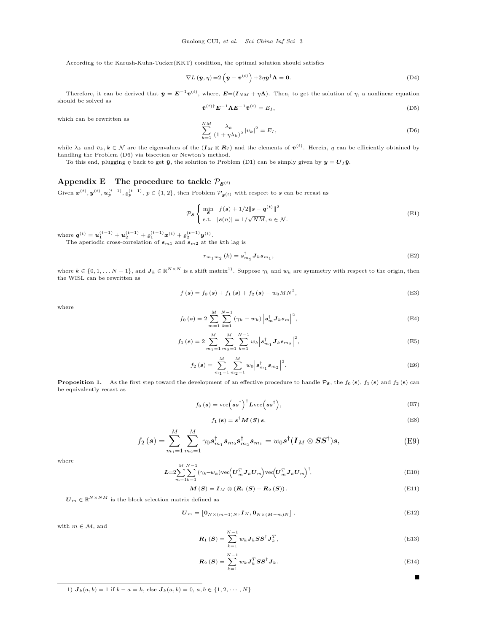According to the Karush-Kuhn-Tucker(KKT) condition, the optimal solution should satisfies

$$
\nabla L(\bar{\boldsymbol{y}}, \eta) = 2(\bar{\boldsymbol{y}} - \bar{\boldsymbol{v}}^{(t)}) + 2\eta \bar{\boldsymbol{y}}^{\dagger} \Lambda = \mathbf{0}.
$$
 (D4)

Therefore, it can be derived that  $\bar{y} = E^{-1}\bar{v}^{(t)}$ , where,  $E = (I_{NM} + \eta \Lambda)$ . Then, to get the solution of  $\eta$ , a nonlinear equation should be solved as

$$
\bar{\boldsymbol{v}}^{(t)\dagger} \boldsymbol{E}^{-1} \boldsymbol{\Lambda} \boldsymbol{E}^{-1} \bar{\boldsymbol{v}}^{(t)} = E_I,
$$
\n(D5)

which can be rewritten as

<span id="page-2-0"></span>
$$
\sum_{k=1}^{NM} \frac{\lambda_k}{(1+\eta\lambda_k)^2} |\bar{v}_k|^2 = E_I,
$$
\n(D6)

while  $\lambda_k$  and  $\bar{v}_k, k \in \mathcal{N}$  are the eigenvalues of the  $(\mathbf{I}_M \otimes \mathbf{R}_I)$  and the elements of  $\bar{\mathbf{v}}^{(t)}$ . Herein,  $\eta$  can be efficiently obtained by handling the Problem [\(D6\)](#page-2-0) via bisection or Newton's method.

To this end, plugging  $\eta$  back to get  $\bar{y}$ , the solution to Problem [\(D1\)](#page-1-2) can be simply given by  $y = U_I \bar{y}$ .

# Appendix E The procedure to tackle  $\mathcal{P}_{\mathbf{s}^{(t)}}$

Given  $\mathbf{x}^{(t)}, \mathbf{y}^{(t)}, \mathbf{u}_p^{(t-1)}, \varrho_p^{(t-1)}$ ,  $p \in \{1, 2\}$ , then Problem  $\mathcal{P}_{\mathbf{g}(t)}$  with respect to  $\mathbf{s}$  can be recast as

<span id="page-2-3"></span>
$$
\mathcal{P}_{\mathcal{S}}\left\{\begin{array}{ll}\min_{\mathcal{S}}&f(\mathcal{S})+1/2\|\mathcal{S}-\mathbf{q}^{(t)}\|^2\\ \text{s.t.} &|\mathcal{S}(n)|=1/\sqrt{NM}, n \in \mathcal{N}.\end{array}\right.
$$
\n(E1)

where  $\mathbf{q}^{(t)} = \mathbf{u}_1^{(t-1)} + \mathbf{u}_2^{(t-1)} + \varrho_1^{(t-1)} \mathbf{x}^{(t)} + \varrho_2^{(t-1)} \mathbf{y}^{(t)}$ .

The aperiodic cross-correlation of  $s_{m1}$  and  $s_{m2}$  at the kth lag is

$$
r_{m_1m_2}(k) = \mathbf{s}_{m_2}^{\dagger} \mathbf{J}_k \mathbf{s}_{m_1},\tag{E2}
$$

where  $k \in \{0, 1, \ldots N-1\}$ , and  $J_k \in \mathbb{R}^{N \times N}$  is a shift matrix<sup>1</sup>. Suppose  $\gamma_k$  and  $w_k$  are symmetry with respect to the origin, then the WISL can be rewritten as

$$
f(s) = f_0(s) + f_1(s) + f_2(s) - w_0 MN^2,
$$
 (E3)

where

$$
f_0(s) = 2 \sum_{m=1}^{M} \sum_{k=1}^{N-1} (\gamma_k - w_k) |s_m^{\dagger} J_k s_m|^2,
$$
 (E4)

$$
f_1(s) = 2 \sum_{m_1=1}^{M} \sum_{m_2=1}^{M} \sum_{k=1}^{N-1} w_k \left| \boldsymbol{s}_{m_1}^{\dagger} \boldsymbol{J}_k \boldsymbol{s}_{m_2} \right|^2, \tag{E5}
$$

$$
f_2(s) = \sum_{m_1=1}^{M} \sum_{m_2=1}^{M} w_0 \left| s_{m_1}^{\dagger} s_{m_2} \right|^2.
$$
 (E6)

<span id="page-2-2"></span>**Proposition 1.** As the first step toward the development of an effective procedure to handle  $\mathcal{P}_{s}$ , the  $f_0$  (s),  $f_1$  (s) and  $f_2$  (s) can be equivalently recast as

$$
f_0(s) = \text{vec}\left(s s^{\dagger}\right)^{\dagger} \text{Lvec}\left(s s^{\dagger}\right),\tag{E7}
$$

$$
f_1(\mathbf{s}) = \mathbf{s}^\dagger \mathbf{M}(\mathbf{S}) \mathbf{s},\tag{E8}
$$

$$
f_2(s) = \sum_{m_1=1}^{M} \sum_{m_2=1}^{M} \gamma_0 s_{m_1}^{\dagger} s_{m_2} s_{m_2}^{\dagger} s_{m_1} = w_0 s^{\dagger} (\mathbf{I}_M \otimes \mathbf{S} \mathbf{S}^{\dagger}) s, \tag{E9}
$$

where

$$
\mathbf{L} = 2\sum_{m=1}^{M} \sum_{k=1}^{N-1} (\gamma_k - w_k) \text{vec} \left( \mathbf{U}_m^T \mathbf{J}_k \mathbf{U}_m \right) \text{vec} \left( \mathbf{U}_m^T \mathbf{J}_k \mathbf{U}_m \right)^{\dagger}, \tag{E10}
$$

$$
M(S) = I_M \otimes (R_1(S) + R_2(S)). \tag{E11}
$$

 $\mathbf{U}_m \in \mathbb{R}^{N \times NM}$  is the block selection matrix defined as

M

$$
\boldsymbol{U}_{m} = \left[\mathbf{0}_{N\times(m-1)N}, \boldsymbol{I}_{N}, \mathbf{0}_{N\times(M-m)N}\right],\tag{E12}
$$

with  $m \in \mathcal{M}$ , and

$$
\boldsymbol{R}_{1} \left( \boldsymbol{S} \right) = \sum_{k=1}^{N-1} w_{k} \boldsymbol{J}_{k} \boldsymbol{S} \boldsymbol{S}^{\dagger} \boldsymbol{J}_{k}^{T}, \tag{E13}
$$

$$
\boldsymbol{R}_{2}\left(\boldsymbol{S}\right) = \sum_{k=1}^{N-1} w_{k} \boldsymbol{J}_{k}^{T} \boldsymbol{S} \boldsymbol{S}^{\dagger} \boldsymbol{J}_{k}.
$$
\n(E14)

<span id="page-2-1"></span>1)  $J_k(a, b) = 1$  if  $b - a = k$ , else  $J_k(a, b) = 0, a, b \in \{1, 2, \dots, N\}$ 

 $\blacksquare$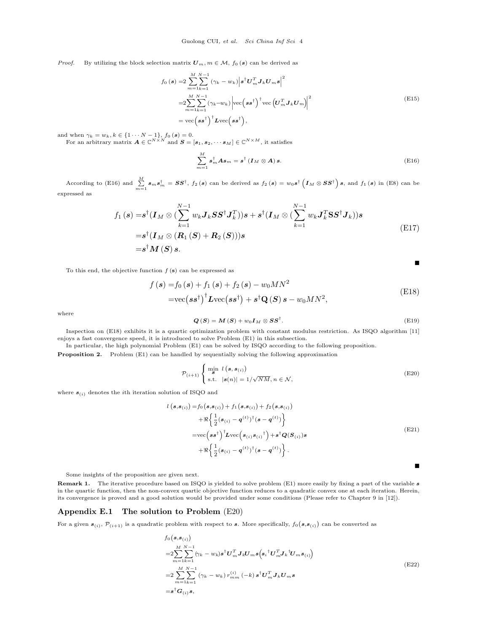*Proof.* By utilizing the block selection matrix  $U_m$ ,  $m \in \mathcal{M}$ ,  $f_0(s)$  can be derived as

$$
f_0(s) = 2 \sum_{m=1}^{M} \sum_{k=1}^{N-1} (\gamma_k - w_k) \left| s^{\dagger} U_m^T J_k U_m s \right|^2
$$
  
\n
$$
= 2 \sum_{m=1}^{M} \sum_{k=1}^{N-1} (\gamma_k - w_k) \left| \text{vec} \left( s s^{\dagger} \right)^{\dagger} \text{vec} \left( U_m^T J_k U_m \right) \right|^2
$$
  
\n
$$
= \text{vec} \left( s s^{\dagger} \right)^{\dagger} \text{Lvec} \left( s s^{\dagger} \right), \tag{E15}
$$

and when  $\gamma_k = w_k, k \in \{1 \cdots N-1\}$ ,  $f_0(s) = 0$ .<br>For an arbitrary matrix  $A \in \mathbb{C}^{N \times N}$  and  $S = [s_1, s_2, \cdots s_M] \in \mathbb{C}^{N \times M}$ , it satisfies

<span id="page-3-0"></span>
$$
\sum_{m=1}^{M} \boldsymbol{s}_{m}^{\dagger} \boldsymbol{A} \boldsymbol{s}_{m} = \boldsymbol{s}^{\dagger} \left( \boldsymbol{I}_{M} \otimes \boldsymbol{A} \right) \boldsymbol{s}.
$$
\n(E16)

According to [\(E16\)](#page-3-0) and  $\sum_{m=1}^{M} s_m s_m^{\dagger} = SS^{\dagger}$ ,  $f_2(s)$  can be derived as  $f_2(s) = w_0 s^{\dagger} (I_M \otimes SS^{\dagger}) s$ , and  $f_1(s)$  in [\(E8\)](#page-2-2) can be expressed as

$$
f_1(s) = s^{\dagger}(\mathbf{I}_M \otimes (\sum_{k=1}^{N-1} w_k \mathbf{J}_k \mathbf{S} \mathbf{S}^{\dagger} \mathbf{J}_k^T))s + s^{\dagger}(\mathbf{I}_M \otimes (\sum_{k=1}^{N-1} w_k \mathbf{J}_k^T \mathbf{S} \mathbf{S}^{\dagger} \mathbf{J}_k))s
$$
  
\n
$$
= s^{\dagger}(\mathbf{I}_M \otimes (\mathbf{R}_1(\mathbf{S}) + \mathbf{R}_2(\mathbf{S})))s
$$
  
\n
$$
= s^{\dagger} \mathbf{M}(\mathbf{S}) s.
$$
 (E17)

<span id="page-3-1"></span>To this end, the objective function  $f(s)$  can be expressed as

$$
f(\mathbf{s}) = f_0(\mathbf{s}) + f_1(\mathbf{s}) + f_2(\mathbf{s}) - w_0 MN^2
$$
  
=vec( $\mathbf{s}\mathbf{s}^{\dagger}$ )<sup>†</sup>  $\mathbf{L}vec(\mathbf{s}\mathbf{s}^{\dagger}) + \mathbf{s}^{\dagger} \mathbf{Q}(\mathbf{S}) \mathbf{s} - w_0 MN^2,$  (E18)

where

$$
Q(S) = M(S) + w_0 I_M \otimes S S^{\dagger}.
$$
 (E19)

 $\blacksquare$ 

 $\blacksquare$ 

Inspection on [\(E18\)](#page-3-1) exhibits it is a quartic optimization problem with constant modulus restriction. As ISQO algorithm [\[11\]](#page-7-5) enjoys a fast convergence speed, it is introduced to solve Problem [\(E1\)](#page-2-3) in this subsection.

In particular, the high polynomial Problem [\(E1\)](#page-2-3) can be solved by ISQO according to the following proposition.

Proposition 2. Problem [\(E1\)](#page-2-3) can be handled by sequentially solving the following approximation

<span id="page-3-2"></span>
$$
\mathcal{P}_{(i+1)}\begin{cases} \min_{\mathcal{S}} \ l\left(\mathcal{s}, \mathcal{s}_{(i)}\right) \\ \text{s.t.} \quad |\mathcal{s}(n)| = 1/\sqrt{NM}, n \in \mathcal{N}, \end{cases} \tag{E20}
$$

where  $s_{(i)}$  denotes the *i*th iteration solution of ISQO and

$$
l\left(\mathbf{s},\mathbf{s}_{(i)}\right) = f_0\left(\mathbf{s},\mathbf{s}_{(i)}\right) + f_1\left(\mathbf{s},\mathbf{s}_{(i)}\right) + f_2\left(\mathbf{s},\mathbf{s}_{(i)}\right) + \Re\left\{\frac{1}{2}\left(\mathbf{s}_{(i)} - \mathbf{q}^{(t)}\right)^{\dagger}\left(\mathbf{s} - \mathbf{q}^{(t)}\right)\right\} = \text{vec}\left(\mathbf{s}\mathbf{s}^{\dagger}\right)^{\dagger} \mathbf{L} \text{vec}\left(\mathbf{s}_{(i)}\mathbf{s}_{(i)}\right)^{\dagger} + \mathbf{s}^{\dagger} \mathbf{Q}(\mathbf{S}_{(i)})\mathbf{s} + \Re\left\{\frac{1}{2}\left(\mathbf{s}_{(i)} - \mathbf{q}^{(t)}\right)^{\dagger}\left(\mathbf{s} - \mathbf{q}^{(t)}\right)\right\}.
$$
\n(E21)

Some insights of the proposition are given next.

Remark 1. The iterative procedure based on ISQO is yielded to solve problem [\(E1\)](#page-2-3) more easily by fixing a part of the variable s in the quartic function, then the non-convex quartic objective function reduces to a quadratic convex one at each iteration. Herein, its convergence is proved and a good solution would be provided under some conditions (Please refer to Chapter 9 in [\[12\]](#page-7-6)).

#### Appendix E.1 The solution to Problem [\(E20\)](#page-3-2)

For a given  $s_{(i)}$ ,  $\mathcal{P}_{(i+1)}$  is a quadratic problem with respect to s. More specifically,  $f_0(s, s_{(i)})$  can be converted as

 $\mathcal{L}$ 

$$
f_0(s, s_{(i)})
$$
  
\n
$$
= 2 \sum_{m=1}^{M} \sum_{k=1}^{N-1} (\gamma_k - w_k) s^{\dagger} U_m^T J_k U_m s(s_i^{\dagger} U_m^T J_k^{\dagger} U_m s_{(i)})
$$
  
\n
$$
= 2 \sum_{m=1}^{M} \sum_{k=1}^{N-1} (\gamma_k - w_k) r_{mm}^{(i)} (-k) s^{\dagger} U_m^T J_k U_m s
$$
  
\n
$$
= s^{\dagger} G_{(i)} s,
$$
\n
$$
(E22)
$$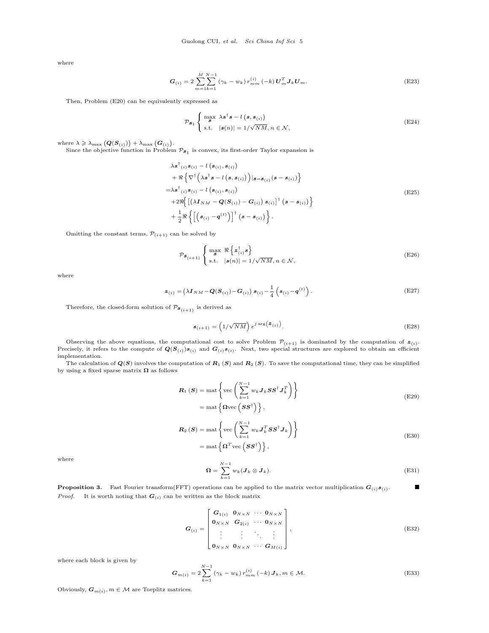where

$$
G_{(i)} = 2 \sum_{m=1}^{M} \sum_{k=1}^{N-1} (\gamma_k - w_k) r_{mm}^{(i)} (-k) U_m^T \mathbf{J}_k U_m.
$$
 (E23)

Then, Problem [\(E20\)](#page-3-2) can be equivalently expressed as

$$
\mathcal{P}_{\mathcal{S}_1} \begin{cases} \max_{\mathcal{S}} \ \lambda \mathcal{S}^{\dagger} \mathcal{S} - l\left(\mathcal{S}, \mathcal{S}_{(i)}\right) \\ \text{s.t.} \quad |\mathcal{S}(n)| = 1/\sqrt{NM}, n \in \mathcal{N}, \end{cases} \tag{E24}
$$

where  $\lambda \geqslant \lambda_{\max} (Q(S_{(i)})) + \lambda_{\max} (G_{(i)}).$ 

Since the objective function in Problem  $\mathcal{P}_{s_1}$  is convex, its first-order Taylor expansion is

$$
\lambda s^{\dagger}(i) s(i) - l(s(i), s(i)) \n+ \Re \left\{ \nabla^{\dagger} \left( \lambda s^{\dagger} s - l(s, s(i)) \right) | s = s_{(i)}(s - s(i)) \right\} \n= \lambda s^{\dagger}(i) s_{(i)} - l(s_{(i)}, s_{(i)}) \n+ 2 \Re \left\{ \left[ (\lambda I_{NM} - Q(S_{(i)}) - G_{(i)}) s_{(i)} \right]^{+} (s - s_{(i)}) \right\} \n+ \frac{1}{2} \Re \left\{ \left[ \left( s_{(i)} - q^{(t)} \right) \right]^{+} (s - s_{(i)}) \right\}.
$$
\n(E25)

Omitting the constant terms,  $\mathcal{P}_{(i+1)}$  can be solved by

$$
\mathcal{P}_{\mathcal{S}_{(i+1)}} \left\{ \max_{\mathcal{S}} \ \Re \left\{ \mathbf{z}_{(i)}^{\dagger} \mathbf{s} \right\} \atop \text{s.t.} \ \|\mathbf{s}(n)\| = 1/\sqrt{NM}, n \in \mathcal{N}, \right\}
$$
(E26)

where

$$
\boldsymbol{z}_{(i)} = (\lambda \boldsymbol{I}_{NM} - \boldsymbol{Q}(\boldsymbol{S}_{(i)}) - \boldsymbol{G}_{(i)}) \boldsymbol{s}_{(i)} - \frac{1}{4} \left( \boldsymbol{s}_{(i)} - \boldsymbol{q}^{(t)} \right). \tag{E27}
$$

Therefore, the closed-form solution of  $\mathcal{P}_{\mathcal{\boldsymbol{S}}_{\left(i+1\right)}}$  is derived as

$$
\boldsymbol{s}_{(i+1)} = \left(1/\sqrt{NM}\right) e^{j \arg\left(\boldsymbol{z}_{(i)}\right)}.
$$
\n(E28)

Observing the above equations, the computational cost to solve Problem  $\mathcal{P}_{(i+1)}$  is dominated by the computation of  $\mathbf{z}_{(i)}$ . Precisely, it refers to the compute of  $Q(S_{(i)})s_{(i)}$  and  $G_{(i)}s_{(i)}$ . Next, two special structures are explored to obtain an efficient implementation.

<span id="page-4-1"></span>The calculation of  $Q(S)$  involves the computation of  $R_1(S)$  and  $R_2(S)$ . To save the computational time, they can be simplified by using a fixed sparse matrix  $\boldsymbol{\Omega}$  as follows

$$
\mathbf{R}_{1}(\mathbf{S}) = \text{mat}\left\{\text{vec}\left(\sum_{k=1}^{N-1} w_{k} \mathbf{J}_{k} \mathbf{S} \mathbf{S}^{\dagger} \mathbf{J}_{k}^{T}\right)\right\}
$$
\n
$$
= \text{mat}\left\{\Omega \text{vec}\left(\mathbf{S} \mathbf{S}^{\dagger}\right)\right\},\tag{E29}
$$

$$
\mathbf{R}_{2}(\mathbf{S}) = \text{mat}\left\{\text{vec}\left(\sum_{k=1}^{N-1} w_{k} \mathbf{J}_{k}^{T} \mathbf{S} \mathbf{S}^{\dagger} \mathbf{J}_{k}\right)\right\}
$$
\n
$$
= \text{mat}\left\{\mathbf{\Omega}^{T} \text{vec}\left(\mathbf{S} \mathbf{S}^{\dagger}\right)\right\},\tag{E30}
$$

<span id="page-4-2"></span>where

<span id="page-4-0"></span>
$$
\Omega = \sum_{k=1}^{N-1} w_k (J_k \otimes J_k).
$$
 (E31)

**Proposition 3.** Fast Fourier transform(FFT) operations can be applied to the matrix vector multiplication  $G_{(i)}s_{(i)}$ . *Proof.* It is worth noting that  $G_{(i)}$  can be written as the block matrix

$$
\boldsymbol{G}_{(i)} = \begin{bmatrix} \boldsymbol{G}_{1(i)} & \boldsymbol{0}_{N \times N} & \cdots & \boldsymbol{0}_{N \times N} \\ \boldsymbol{0}_{N \times N} & \boldsymbol{G}_{2(i)} & \cdots & \boldsymbol{0}_{N \times N} \\ \vdots & \vdots & \ddots & \vdots \\ \boldsymbol{0}_{N \times N} & \boldsymbol{0}_{N \times N} & \cdots & \boldsymbol{G}_{M(i)} \end{bmatrix},
$$
\n(E32)

where each block is given by

$$
G_{m(i)} = 2\sum_{k=1}^{N-1} (\gamma_k - w_k) r_{mm}^{(i)} (-k) J_k, m \in \mathcal{M}.
$$
 (E33)

Obviously,  $G_{m(i)}$ ,  $m \in \mathcal{M}$  are Toeplitz matrices.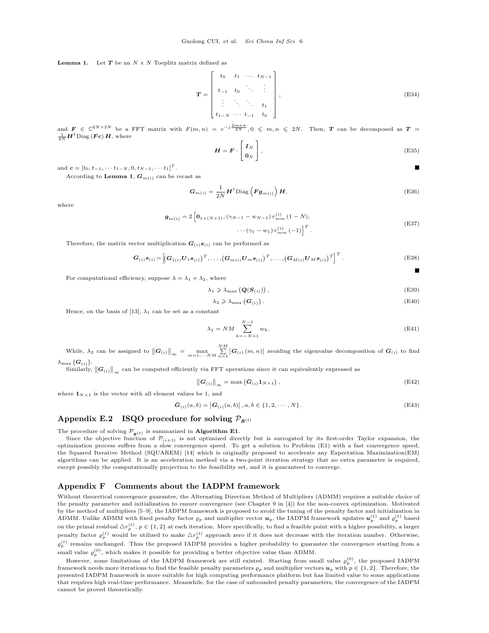**Lemma 1.** Let  $T$  be an  $N \times N$  Toeplitz matrix defined as

$$
\boldsymbol{T} = \begin{bmatrix} t_0 & t_1 & \cdots & t_{N-1} \\ t_{-1} & t_0 & \ddots & \vdots \\ \vdots & \ddots & \ddots & t_1 \\ t_{1-N} & \cdots & t_{-1} & t_0 \end{bmatrix},
$$
(E34)

and  $\mathbf{F} \in \mathbb{C}^{2N\times 2N}$  be a FFT matrix with  $F(m,n) = e^{-j\frac{2mn\pi}{2N}}, 0 \leqslant m, n \leqslant 2N$ . Then, T can be decomposed as  $\mathbf{T} =$  $\frac{1}{2N} H^{\dagger} \text{Diag} \left( \bm{F} \bm{c} \right) \bm{H}, \text{ where}$ 

$$
\boldsymbol{H} = \boldsymbol{F} \cdot \begin{bmatrix} \boldsymbol{I}_N \\ \boldsymbol{0}_N \end{bmatrix},\tag{E35}
$$

and  $\mathbf{c} = [t_0, t_{-1}, \cdots t_{1-N}, 0, t_{N-1}, \cdots t_1]^T$ .  $T$  . The contract of the contract of the contract of the contract of the contract of the contract of the contract of the contract of the contract of the contract of the contract of the contract of the contract of the con

According to Lemma 1,  $G_{m(i)}$  can be recast as

$$
G_{m(i)} = \frac{1}{2N} H^{\dagger} \text{Diag} \left( F g_{m(i)} \right) H, \tag{E36}
$$

where

$$
\mathbf{g}_{m(i)} = 2 \left[ \mathbf{0}_{1 \times (N+1)}, (\gamma_{N-1} - w_{N-1}) r_{mm}^{(i)} (1 - N), \cdots (\gamma_1 - w_1) r_{mm}^{(i)} (-1) \right]^T.
$$
\n(E37)

Therefore, the matrix vector multiplication  $G_{(i)}s_{(i)}$  can be performed as

<span id="page-5-1"></span>
$$
\boldsymbol{G}_{(i)}\boldsymbol{s}_{(i)} = \left[\left(\boldsymbol{G}_{1(i)}\boldsymbol{U}_{1}\boldsymbol{s}_{(i)}\right)^{T},\ldots,\left(\boldsymbol{G}_{m(i)}\boldsymbol{U}_{m}\boldsymbol{s}_{(i)}\right)^{T},\ldots,\left(\boldsymbol{G}_{M(i)}\boldsymbol{U}_{M}\boldsymbol{s}_{(i)}\right)^{T}\right]^{T}.
$$
\n(E38)

For computational efficiency, suppose  $\lambda = \lambda_1 + \lambda_2$ , where

$$
\lambda_1 \geqslant \lambda_{\max} \left( \mathbf{Q}(\mathbf{S}_{(i)}) \right), \tag{E39}
$$

$$
\lambda_2 \geqslant \lambda_{\max} \left( \mathbf{G}_{(i)} \right). \tag{E40}
$$

Hence, on the basis of [\[13\]](#page-7-7),  $\lambda_1$  can be set as a constant

<span id="page-5-0"></span>
$$
\lambda_1 = NM \sum_{k=-N+1}^{N-1} w_k.
$$
 (E41)

While,  $\lambda_2$  can be assigned to  $\|\mathbf{G}_{(i)}\|_{\infty} = \max_{m=1,\dots N} \sum_{n=1}^{N} |\mathbf{G}_{(i)}(m,n)|$  avoiding the eigenvalue decomposition of  $\mathbf{G}_{(i)}$  to find  $\lambda_{\max}\left(\boldsymbol{G}_{\left(i\right)}\right)$  .

Similarly,  $\|\bm G_{(i)}\|_\infty$  can be computed efficiently via FFT operations since it can equivalently expressed as

<span id="page-5-2"></span>
$$
\left\| \boldsymbol{G}_{(i)} \right\|_{\infty} = \max \left( \bar{\boldsymbol{G}}_{(i)} \boldsymbol{1}_{N \times 1} \right), \tag{E42}
$$

$$
s \t{b} \t{e} \t{1, and}
$$

$$
\bar{G}_{(i)}(a,b) = |G_{(i)}(a,b)|, a,b \in \{1,2,\cdots,N\}.
$$
 (E43)

# Appendix E.2 ISQO procedure for solving  $P_{S^{(t)}}$

The procedure of solving  $\mathcal{P}_{s(t)}$  is summarized in **Algorithm [E1](#page-6-0)**.

where  $\mathbf{1}_{N\times 1}$  is the vector with all element values

Since the objective function of  $\mathcal{P}_{(i+1)}$  is not optimized directly but is surrogated by its first-order Taylor expansion, the optimization process suffers from a slow convergence speed. To get a solution to Problem [\(E1\)](#page-2-3) with a fast convergence speed, the Squared Iterative Method (SQUAREM) [\[14\]](#page-7-8) which is originally proposed to accelerate any Expectation Maximization(EM) algorithms can be applied. It is an acceleration method via a two-point iteration strategy that no extra parameter is required, except possibly the computationally projection to the feasibility set, and it is guaranteed to converge.

### Appendix F Comments about the IADPM framework

Without theoretical convergence guarantee, the Alternating Direction Method of Multipliers (ADMM) requires a suitable choice of the penalty parameter and initialization to ensure convergence (see Chapter 9 in [\[4\]](#page-7-3)) for the non-convex optimization. Motivated by the method of multipliers [\[5–](#page-7-9)[9\]](#page-7-10), the IADPM framework is proposed to avoid the tuning of the penalty factor and initialization in ADMM. Unlike ADMM with fixed penalty factor  $\varrho_p$  and multiplier vector  $u_p$ , the IADPM framework updates  $u_p^{(t)}$  and  $\varrho_p^{(t)}$  based on the primal residual  $\Delta r_p^{(t)}$ ,  $p \in \{1,2\}$  at each iteration. More specifically, to find a feasible point with a higher possibility, a larger penalty factor  $\varrho_p^{(t)}$  would be utilized to make  $\Delta r_p^{(t)}$  approach zero if it does not decrease with the iteration number. Otherwise,  $\varrho_p^{(t)}$  remains unchanged. Thus the proposed IADPM provides a higher probability to guarantee the convergence starting from a small value  $\varrho_p^{(0)}$ , which makes it possible for providing a better objective value than ADMM.

However, some limitations of the IADPM framework are still existed. Starting from small valus  $\varrho_p^{(0)}$ , the proposed IADPM framework needs more iterations to find the feasible penalty parameters  $\varrho_p$  and multiplier vectors  $u_p$  with  $p \in \{1, 2\}$ . Therefore, the presented IADPM framework is more suitable for high computing performance platform but has limited value to some applications that requires high real-time performance. Meanwhile, for the case of unbounded penalty parameters, the convergence of the IADPM cannot be proved theoretically.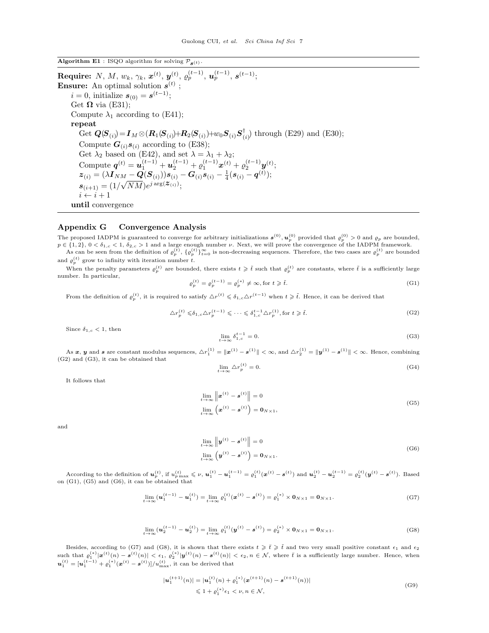<span id="page-6-0"></span>Algorithm E1 : ISQO algorithm for solving  $\mathcal{P}_{\mathbf{s}(t)}$ .

 ${\bf Require:} \ \ N,\ M,\ w_k,\ \gamma_k,\ \pmb{x}^{(t)},\ \pmb{y}^{(t)},\ \varrho^{(t-1)}_{p},\ \pmb{u}^{(t-1)}_{p},\ \pmb{s}^{(t-1)};$ **Ensure:** An optimal solution  $s^{(t)}$ ;  $i = 0$ , initialize  $s_{(0)} = s^{(t-1)}$ ; Get  $\Omega$  via [\(E31\)](#page-4-0); Compute  $\lambda_1$  according to [\(E41\)](#page-5-0); repeat  $\overline{\mathrm{Get}}~ \boldsymbol{Q}(\boldsymbol{S}_{(i)}) \!=\! \boldsymbol{I}_M \!\otimes\! (\boldsymbol{R}_1(\!\boldsymbol{S}_{(i)}) \!\!+\!\! \boldsymbol{R}_2(\!\boldsymbol{S}_{(i)}) \!\!+\!\! w_0 \boldsymbol{S}_{(i)} \boldsymbol{S}_{(i)}^\dagger$  $\binom{1}{i}$  through [\(E29\)](#page-4-1) and [\(E30\)](#page-4-2); Compute  $G_{(i)}s_{(i)}$  according to [\(E38\)](#page-5-1); Get  $\lambda_2$  based on [\(E42\)](#page-5-2), and set  $\lambda = \lambda_1 + \lambda_2$ ; Compute  $\boldsymbol{q}^{(t)} = \boldsymbol{u}_1^{(t-1)} + \boldsymbol{u}_2^{(t-1)} + \varrho_1^{(t-1)} \boldsymbol{x}^{(t)} + \varrho_2^{(t-1)} \boldsymbol{y}^{(t)};$  $\bm{z}_{(i)} = (\lambda \bm{I}_{NM} - \bm{Q}(\bm{S}_{(i)})) \bm{s}_{(i)} - \bm{G}_{(i)} \bm{s}_{(i)} - \frac{1}{4} (\bm{s}_{(i)} - \bm{q}^{(t)});$  $\boldsymbol{s}_{(i+1)} = (1/\sqrt{NM}) e^{j\arg(\boldsymbol{\mathcal{Z}}_{(i)})};$  $i \leftarrow i + 1$ until convergence

# Appendix G Convergence Analysis

The proposed IADPM is guaranteed to converge for arbitrary initializations  $s^{(0)}$ ,  $u_p^{(0)}$  provided that  $\varrho_p^{(0)} > 0$  and  $\varrho_p$  are bounded,  $p \in \{1, 2\}, 0 < \delta_{1,c} < 1, \delta_{2,c} > 1$  and a large enough number  $\nu$ . Next, we will prove the convergence of the IADPM framework.

As can be seen from the definition of  $\varrho_p^{(t)}$ ,  $\{\varrho_p^{(t)}\}_{t=0}^{\infty}$  is non-decreasing sequences. Therefore, the two cases are  $\varrho_p^{(t)}$  are bounded and  $\varrho_p^{(t)}$  grow to infinity with iteration number t.

When the penalty parameters  $\varrho_p^{(t)}$  are bounded, there exists  $t \geqslant \tilde{t}$  such that  $\varrho_p^{(t)}$  are constants, where  $\tilde{t}$  is a sufficiently large number. In particular,

<span id="page-6-3"></span>
$$
\varrho_p^{(t)} = \varrho_p^{(t-1)} = \varrho_p^{(*)} \neq \infty, \text{for } t \geq \tilde{t}.\tag{G1}
$$

<span id="page-6-1"></span>From the definition of  $\varrho_p^{(t)}$ , it is required to satisfy  $\Delta r^{(t)} \leq \delta_{1,c} \Delta r^{(t-1)}$  when  $t \geq \tilde{t}$ . Hence, it can be derived that

$$
\Delta r_p^{(t)} \leq \delta_{1,c} \Delta r_p^{(t-1)} \leq \cdots \leq \delta_{1,c}^{t-1} \Delta r_p^{(1)}, \text{for } t \geq \tilde{t}.\tag{G2}
$$

Since  $\delta_{1,c} < 1$ , then

<span id="page-6-2"></span>
$$
\lim_{t \to \infty} \delta_{1,c}^{t-1} = 0. \tag{G3}
$$

As x, y and s are constant modulus sequences,  $\Delta r_1^{(1)} = \|\mathbf{x}^{(1)} - \mathbf{s}^{(1)}\| < \infty$ , and  $\Delta r_2^{(1)} = \|\mathbf{y}^{(1)} - \mathbf{s}^{(1)}\| < \infty$ . Hence, combining [\(G2\)](#page-6-1) and [\(G3\)](#page-6-2), it can be obtained that

$$
\lim_{t \to \infty} \Delta r_p^{(t)} = 0. \tag{G4}
$$

<span id="page-6-4"></span>It follows that

$$
\lim_{t \to \infty} \left\| \boldsymbol{x}^{(t)} - \boldsymbol{s}^{(t)} \right\| = 0
$$
\n
$$
\lim_{t \to \infty} \left( \boldsymbol{x}^{(t)} - \boldsymbol{s}^{(t)} \right) = \mathbf{0}_{N \times 1},
$$
\n(G5)

<span id="page-6-5"></span>and

$$
\lim_{t \to \infty} \left\| \boldsymbol{y}^{(t)} - \boldsymbol{s}^{(t)} \right\| = 0
$$
\n
$$
\lim_{t \to \infty} \left( \boldsymbol{y}^{(t)} - \boldsymbol{s}^{(t)} \right) = \mathbf{0}_{N \times 1}.
$$
\n(G6)

<span id="page-6-6"></span>According to the definition of  $\mathbf{u}_p^{(t)}$ , if  $u_{p\max}^{(t)} \leq \nu$ ,  $\mathbf{u}_1^{(t)} - \mathbf{u}_1^{(t-1)} = \varrho_1^{(t)}(\mathbf{x}^{(t)} - \mathbf{s}^{(t)})$  and  $\mathbf{u}_2^{(t)} - \mathbf{u}_2^{(t-1)} = \varrho_2^{(t)}(\mathbf{y}^{(t)} - \mathbf{s}^{(t)})$ . Based on [\(G1\)](#page-6-3), [\(G5\)](#page-6-4) and [\(G6\)](#page-6-5), it can be obtained that

$$
\lim_{t \to \infty} (\mathbf{u}_1^{(t-1)} - \mathbf{u}_1^{(t)}) = \lim_{t \to \infty} \varrho_1^{(t)} (\mathbf{x}^{(t)} - \mathbf{s}^{(t)}) = \varrho_1^{(*)} \times \mathbf{0}_{N \times 1} = \mathbf{0}_{N \times 1}.
$$
 (G7)

$$
\lim_{t \to \infty} (\mathbf{u}_2^{(t-1)} - \mathbf{u}_2^{(t)}) = \lim_{t \to \infty} \varrho_1^{(t)} (\mathbf{y}^{(t)} - \mathbf{s}^{(t)}) = \varrho_2^{(*)} \times \mathbf{0}_{N \times 1} = \mathbf{0}_{N \times 1}.
$$
 (G8)

<span id="page-6-7"></span>Besides, according to [\(G7\)](#page-6-6) and [\(G8\)](#page-6-7), it is shown that there exists  $t \geqslant \overline{t} \geqslant \overline{t}$  and two very small positive constant  $\epsilon_1$  and  $\epsilon_2$ such that  $\varrho_1^{(*)}|\mathbf{x}^{(t)}(n) - \mathbf{s}^{(t)}(n)| < \epsilon_1$ ,  $\varrho_2^{(*)}|\mathbf{y}^{(t)}(n) - \mathbf{s}^{(t)}(n)| < \epsilon_2$ ,  $n \in \mathcal{N}$ , where  $\bar{t}$  is a sufficiently large number. Hence, when  $u_1^{(t)} = [u_1^{(t-1)} + \varrho_1^{(*)}(x^{(t)} - s^{(t)})]/u_{\text{max}}^{(t)}$ , it can be derived that

$$
|\boldsymbol{u}_{1}^{(t+1)}(n)| = |\boldsymbol{u}_{1}^{(t)}(n) + \varrho_{1}^{(*)}(\boldsymbol{x}^{(t+1)}(n) - \boldsymbol{s}^{(t+1)}(n))|
$$
  
\$\leq 1 + \varrho\_{1}^{(\*)}\epsilon\_{1} < \nu, n \in \mathcal{N}, \quad (G9)\$